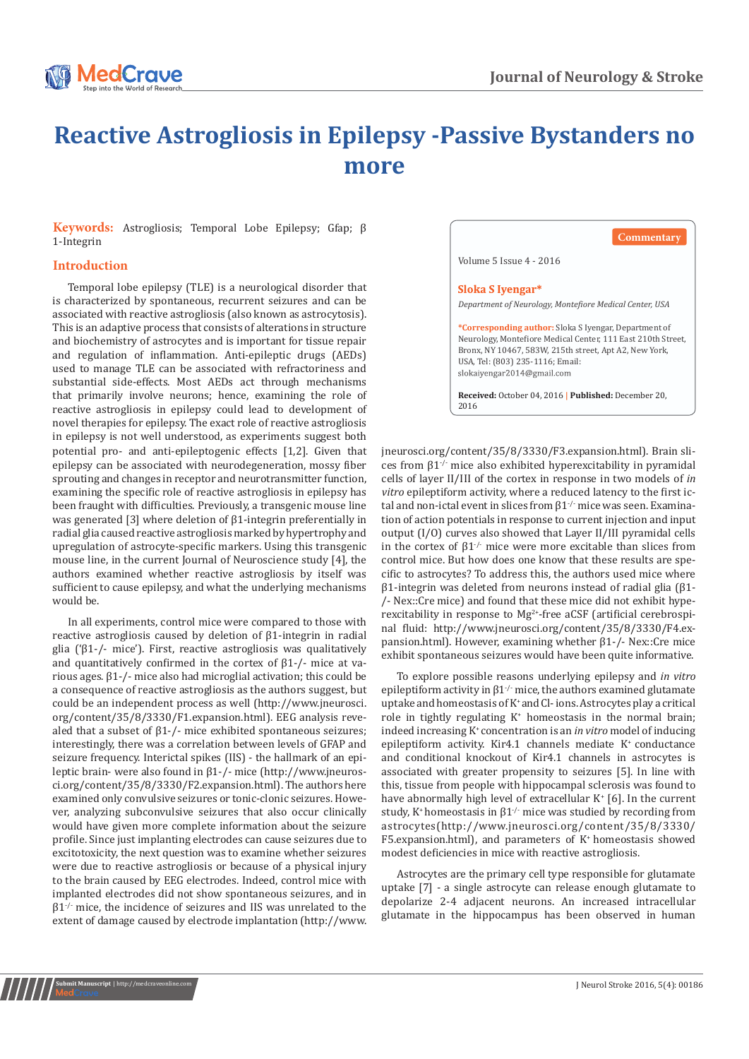

## **Reactive Astrogliosis in Epilepsy -Passive Bystanders no more**

**Keywords:** Astrogliosis; Temporal Lobe Epilepsy; Gfap; β 1-Integrin

## **Introduction**

potential pro- and anti-epileptogenic effects [1,2]. Given that epilepsy can be associated with neurodegeneration, mossy fiber sprouting and changes in receptor and neurotransmitter function, examining the specific role of reactive astrogliosis in epilepsy has been fraught with difficulties. Previously, a transgenic mouse line was generated [3] where deletion of β1-integrin preferentially in radial glia caused reactive astrogliosis marked by hypertrophy and upregulation of astrocyte-specific markers. Using this transgenic mouse line, in the current Journal of Neuroscience study [4], the authors examined whether reactive astrogliosis by itself was sufficient to cause epilepsy, and what the underlying mechanisms would be. Temporal lobe epilepsy (TLE) is a neurological disorder that is characterized by spontaneous, recurrent seizures and can be associated with reactive astrogliosis (also known as astrocytosis). This is an adaptive process that consists of alterations in structure and biochemistry of astrocytes and is important for tissue repair and regulation of inflammation. Anti-epileptic drugs (AEDs) used to manage TLE can be associated with refractoriness and substantial side-effects. Most AEDs act through mechanisms that primarily involve neurons; hence, examining the role of reactive astrogliosis in epilepsy could lead to development of novel therapies for epilepsy. The exact role of reactive astrogliosis in epilepsy is not well understood, as experiments suggest both

In all experiments, control mice were compared to those with reactive astrogliosis caused by deletion of β1-integrin in radial glia ('β1-/- mice'). First, reactive astrogliosis was qualitatively and quantitatively confirmed in the cortex of  $\beta$ 1-/- mice at various ages. β1-/- mice also had microglial activation; this could be a consequence of reactive astrogliosis as the authors suggest, but could be an independent process as well (http://www.jneurosci. org/content/35/8/3330/F1.expansion.html). EEG analysis revealed that a subset of  $\beta$ 1-/- mice exhibited spontaneous seizures; interestingly, there was a correlation between levels of GFAP and seizure frequency. Interictal spikes (IIS) - the hallmark of an epileptic brain- were also found in β1-/- mice (http://www.jneurosci.org/content/35/8/3330/F2.expansion.html). The authors here examined only convulsive seizures or tonic-clonic seizures. However, analyzing subconvulsive seizures that also occur clinically would have given more complete information about the seizure profile. Since just implanting electrodes can cause seizures due to excitotoxicity, the next question was to examine whether seizures were due to reactive astrogliosis or because of a physical injury to the brain caused by EEG electrodes. Indeed, control mice with implanted electrodes did not show spontaneous seizures, and in β1-/- mice, the incidence of seizures and IIS was unrelated to the extent of damage caused by electrode implantation [\(http://www.](http://www.jneurosci.org/content/35/8/3330/F3.expansion.html)

**Commentary**

Volume 5 Issue 4 - 2016

## Sloka S Iyengar\*

*Department of Neurology, Montefiore Medical Center, USA*

**\*Corresponding author:** Sloka S Iyengar, Department of Neurology, Montefiore Medical Center, 111 East 210th Street, Bronx, NY 10467, 583W, 215th street, Apt A2, New York, USA, Tel: (803) 235-1116; Email:

**Received:** October 04, 2016 **| Published:** December 20, 2016

[jneurosci.org/content/35/8/3330/F3.expansion.html\)](http://www.jneurosci.org/content/35/8/3330/F3.expansion.html). Brain slices from  $β1^{-/-}$  mice also exhibited hyperexcitability in pyramidal cells of layer II/III of the cortex in response in two models of *in vitro* epileptiform activity, where a reduced latency to the first ictal and non-ictal event in slices from  $61<sup>-/-</sup>$  mice was seen. Examination of action potentials in response to current injection and input output (I/O) curves also showed that Layer II/III pyramidal cells in the cortex of  $β1<sup>-/-</sup>$  mice were more excitable than slices from control mice. But how does one know that these results are specific to astrocytes? To address this, the authors used mice where β1-integrin was deleted from neurons instead of radial glia (β1- /- Nex::Cre mice) and found that these mice did not exhibit hyperexcitability in response to  $Mg^{2+}$ -free aCSF (artificial cerebrospinal fluid: [http://www.jneurosci.org/content/35/8/3330/F4.ex](http://www.jneurosci.org/content/35/8/3330/F4.expansion.html)[pansion.html](http://www.jneurosci.org/content/35/8/3330/F4.expansion.html)). However, examining whether β1-/- Nex::Cre mice exhibit spontaneous seizures would have been quite informative.

To explore possible reasons underlying epilepsy and *in vitro*  epileptiform activity in  $\beta1^{-/-}$  mice, the authors examined glutamate uptake and homeostasis of K+ andCl- ions. Astrocytes play a critical role in tightly regulating K<sup>+</sup> homeostasis in the normal brain; indeed increasing K+ concentration is an *in vitro* model of inducing epileptiform activity. Kir4.1 channels mediate  $K^*$  conductance and conditional knockout of Kir4.1 channels in astrocytes is associated with greater propensity to seizures [5]. In line with this, tissue from people with hippocampal sclerosis was found to have abnormally high level of extracellular K<sup>+</sup> [6]. In the current study, K<sup>+</sup> homeostasis in  $\beta$ 1<sup>-/-</sup> mice was studied by recording from astrocytes([http://www.jneurosci.org/content/35/8/3330/](http://www.jneurosci.org/content/35/8/3330/F5.expansion.html) [F5.expansion.html](http://www.jneurosci.org/content/35/8/3330/F5.expansion.html)), and parameters of K+ homeostasis showed modest deficiencies in mice with reactive astrogliosis.

Astrocytes are the primary cell type responsible for glutamate uptake [7] - a single astrocyte can release enough glutamate to depolarize 2-4 adjacent neurons. An increased intracellular glutamate in the hippocampus has been observed in human